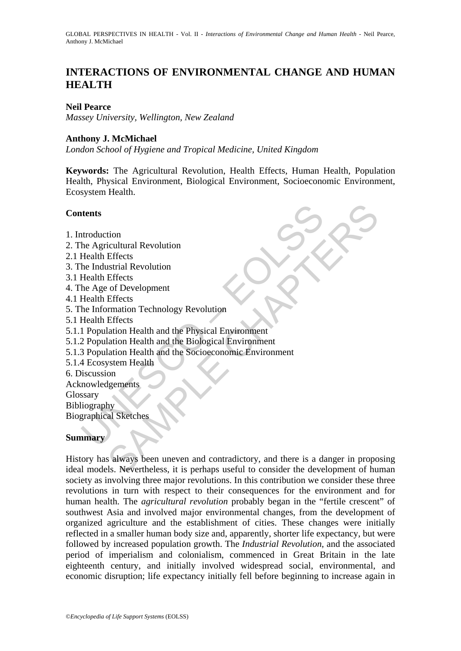# **INTERACTIONS OF ENVIRONMENTAL CHANGE AND HUMAN HEALTH**

## **Neil Pearce**

*Massey University, Wellington, New Zealand* 

## **Anthony J. McMichael**

*London School of Hygiene and Tropical Medicine, United Kingdom* 

**Keywords:** The Agricultural Revolution, Health Effects, Human Health, Population Health, Physical Environment, Biological Environment, Socioeconomic Environment, Ecosystem Health.

## **Contents**

- 1. Introduction
- 2. The Agricultural Revolution
- 2.1 Health Effects
- 3. The Industrial Revolution
- 3.1 Health Effects
- 4. The Age of Development
- 4.1 Health Effects
- 5. The Information Technology Revolution
- 5.1 Health Effects
- 5.1.1 Population Health and the Physical Environment
- 5.1.2 Population Health and the Biological Environment
- ntents<br>
attendients<br>
the degricultural Revolution<br>
Health Effects<br>
Health Effects<br>
he Age of Development<br>
Health Effects<br>
he Age of Development<br>
Health Effects<br>
he Age of Development<br>
Health Effects<br>
2 Population Health an 5.1.3 Population Health and the Socioeconomic Environment
- 5.1.4 Ecosystem Health
- 6. Discussion
- Acknowledgements
- Glossary

Bibliography

Biographical Sketches

# **Summary**

tion<br>
icultural Revolution<br>
Effects<br>
strial Revolution<br>
Effects<br>
strial Revolution<br>
Effects<br>
rmation Technology Revolution<br>
Effects<br>
rmation Health and the Physical Environment<br>
lation Health and the Biological Environment History has always been uneven and contradictory, and there is a danger in proposing ideal models. Nevertheless, it is perhaps useful to consider the development of human society as involving three major revolutions. In this contribution we consider these three revolutions in turn with respect to their consequences for the environment and for human health. The *agricultural revolution* probably began in the "fertile crescent" of southwest Asia and involved major environmental changes, from the development of organized agriculture and the establishment of cities. These changes were initially reflected in a smaller human body size and, apparently, shorter life expectancy, but were followed by increased population growth. The *Industrial Revolution*, and the associated period of imperialism and colonialism, commenced in Great Britain in the late eighteenth century, and initially involved widespread social, environmental, and economic disruption; life expectancy initially fell before beginning to increase again in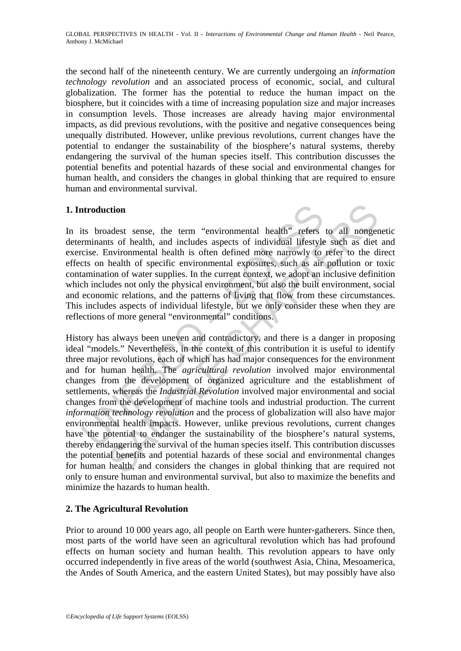the second half of the nineteenth century. We are currently undergoing an *information technology revolution* and an associated process of economic, social, and cultural globalization. The former has the potential to reduce the human impact on the biosphere, but it coincides with a time of increasing population size and major increases in consumption levels. Those increases are already having major environmental impacts, as did previous revolutions, with the positive and negative consequences being unequally distributed. However, unlike previous revolutions, current changes have the potential to endanger the sustainability of the biosphere's natural systems, thereby endangering the survival of the human species itself. This contribution discusses the potential benefits and potential hazards of these social and environmental changes for human health, and considers the changes in global thinking that are required to ensure human and environmental survival.

# **1. Introduction**

In its broadest sense, the term "environmental health" refers to all nongenetic determinants of health, and includes aspects of individual lifestyle such as diet and exercise. Environmental health is often defined more narrowly to refer to the direct effects on health of specific environmental exposures, such as air pollution or toxic contamination of water supplies. In the current context, we adopt an inclusive definition which includes not only the physical environment, but also the built environment, social and economic relations, and the patterns of living that flow from these circumstances. This includes aspects of individual lifestyle, but we only consider these when they are reflections of more general "environmental" conditions.

atroduction<br>tirs broadest sense, the term "environmental health" refers<br>reminants of health, and includes aspects of individual lifestyle<br>cicle. Environmental health is often defined more narrowly to<br>cicle. The more match ction<br>edest sense, the term "environmental health" refers to all nonger<br>ats of health, and includes aspects of individual lifestyle such as diet<br>character supplies. In the current context, we adopt an inclusive definition<br> History has always been uneven and contradictory, and there is a danger in proposing ideal "models." Nevertheless, in the context of this contribution it is useful to identify three major revolutions, each of which has had major consequences for the environment and for human health. The *agricultural revolution* involved major environmental changes from the development of organized agriculture and the establishment of settlements, whereas the *Industrial Revolution* involved major environmental and social changes from the development of machine tools and industrial production. The current *information technology revolution* and the process of globalization will also have major environmental health impacts. However, unlike previous revolutions, current changes have the potential to endanger the sustainability of the biosphere's natural systems, thereby endangering the survival of the human species itself. This contribution discusses the potential benefits and potential hazards of these social and environmental changes for human health, and considers the changes in global thinking that are required not only to ensure human and environmental survival, but also to maximize the benefits and minimize the hazards to human health.

# **2. The Agricultural Revolution**

Prior to around 10 000 years ago, all people on Earth were hunter-gatherers. Since then, most parts of the world have seen an agricultural revolution which has had profound effects on human society and human health. This revolution appears to have only occurred independently in five areas of the world (southwest Asia, China, Mesoamerica, the Andes of South America, and the eastern United States), but may possibly have also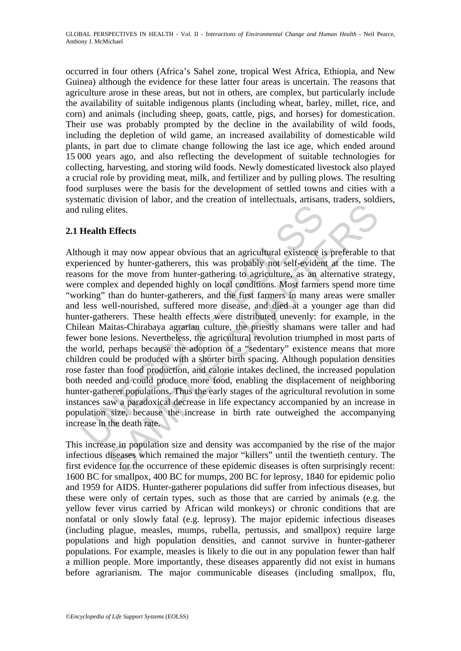occurred in four others (Africa's Sahel zone, tropical West Africa, Ethiopia, and New Guinea) although the evidence for these latter four areas is uncertain. The reasons that agriculture arose in these areas, but not in others, are complex, but particularly include the availability of suitable indigenous plants (including wheat, barley, millet, rice, and corn) and animals (including sheep, goats, cattle, pigs, and horses) for domestication. Their use was probably prompted by the decline in the availability of wild foods, including the depletion of wild game, an increased availability of domesticable wild plants, in part due to climate change following the last ice age, which ended around 15 000 years ago, and also reflecting the development of suitable technologies for collecting, harvesting, and storing wild foods. Newly domesticated livestock also played a crucial role by providing meat, milk, and fertilizer and by pulling plows. The resulting food surpluses were the basis for the development of settled towns and cities with a systematic division of labor, and the creation of intellectuals, artisans, traders, soldiers, and ruling elites.

# **2.1 Health Effects**

ruling elites.<br> **Health Effects**<br>
ough it may now appear obvious that an agricultural existence in<br>
primered by hunter-gatherers, this was probably not self-eviden<br>
ons for the move from hunter-gathering to agriculture, as Effects<br>
Effects<br>
Effects<br>
Effects<br>
Effects<br>
If may now appear obvious that an agricultural existence is preferable to<br>
the move from hunter-gathering to agriculture, as an alternative strate<br>
the move from hunter-gatherin Although it may now appear obvious that an agricultural existence is preferable to that experienced by hunter-gatherers, this was probably not self-evident at the time. The reasons for the move from hunter-gathering to agriculture, as an alternative strategy, were complex and depended highly on local conditions. Most farmers spend more time "working" than do hunter-gatherers, and the first farmers in many areas were smaller and less well-nourished, suffered more disease, and died at a younger age than did hunter-gatherers. These health effects were distributed unevenly: for example, in the Chilean Maitas-Chirabaya agrarian culture, the priestly shamans were taller and had fewer bone lesions. Nevertheless, the agricultural revolution triumphed in most parts of the world, perhaps because the adoption of a "sedentary" existence means that more children could be produced with a shorter birth spacing. Although population densities rose faster than food production, and calorie intakes declined, the increased population both needed and could produce more food, enabling the displacement of neighboring hunter-gatherer populations. Thus the early stages of the agricultural revolution in some instances saw a paradoxical decrease in life expectancy accompanied by an increase in population size, because the increase in birth rate outweighed the accompanying increase in the death rate.

This increase in population size and density was accompanied by the rise of the major infectious diseases which remained the major "killers" until the twentieth century. The first evidence for the occurrence of these epidemic diseases is often surprisingly recent: 1600 BC for smallpox, 400 BC for mumps, 200 BC for leprosy, 1840 for epidemic polio and 1959 for AIDS. Hunter-gatherer populations did suffer from infectious diseases, but these were only of certain types, such as those that are carried by animals (e.g. the yellow fever virus carried by African wild monkeys) or chronic conditions that are nonfatal or only slowly fatal (e.g. leprosy). The major epidemic infectious diseases (including plague, measles, mumps, rubella, pertussis, and smallpox) require large populations and high population densities, and cannot survive in hunter-gatherer populations. For example, measles is likely to die out in any population fewer than half a million people. More importantly, these diseases apparently did not exist in humans before agrarianism. The major communicable diseases (including smallpox, flu,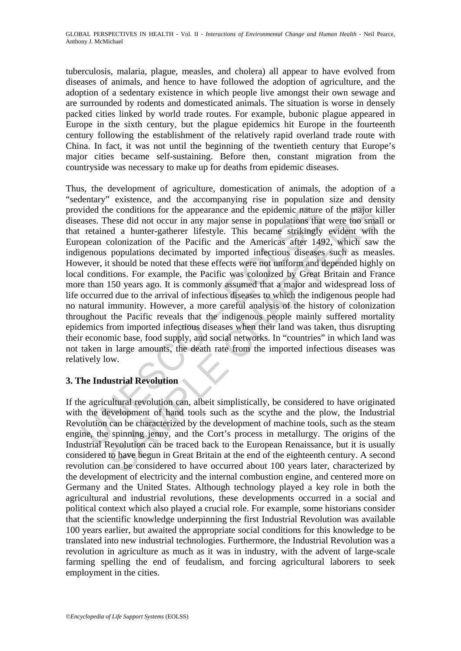tuberculosis, malaria, plague, measles, and cholera) all appear to have evolved from diseases of animals, and hence to have followed the adoption of agriculture, and the adoption of a sedentary existence in which people live amongst their own sewage and are surrounded by rodents and domesticated animals. The situation is worse in densely packed cities linked by world trade routes. For example, bubonic plague appeared in Europe in the sixth century, but the plague epidemics hit Europe in the fourteenth century following the establishment of the relatively rapid overland trade route with China. In fact, it was not until the beginning of the twentieth century that Europe's major cities became self-sustaining. Before then, constant migration from the countryside was necessary to make up for deaths from epidemic diseases.

ided the conditions for the appearance and the epidemic nature<br>ases. These did not occur in any major sense in populations that<br>retained a hunter-gatherer lifestyle. This became strikingly<br>opean colonization of the Pacific is expected in the symmatric and the epidemic matter of the major kees did not occur in any major sense in populations that were too small of a lunter-gatherer lifestyle. This became strikingly evident with cool condicatio Thus, the development of agriculture, domestication of animals, the adoption of a "sedentary" existence, and the accompanying rise in population size and density provided the conditions for the appearance and the epidemic nature of the major killer diseases. These did not occur in any major sense in populations that were too small or that retained a hunter-gatherer lifestyle. This became strikingly evident with the European colonization of the Pacific and the Americas after 1492, which saw the indigenous populations decimated by imported infectious diseases such as measles. However, it should be noted that these effects were not uniform and depended highly on local conditions. For example, the Pacific was colonized by Great Britain and France more than 150 years ago. It is commonly assumed that a major and widespread loss of life occurred due to the arrival of infectious diseases to which the indigenous people had no natural immunity. However, a more careful analysis of the history of colonization throughout the Pacific reveals that the indigenous people mainly suffered mortality epidemics from imported infectious diseases when their land was taken, thus disrupting their economic base, food supply, and social networks. In "countries" in which land was not taken in large amounts, the death rate from the imported infectious diseases was relatively low.

# **3. The Industrial Revolution**

If the agricultural revolution can, albeit simplistically, be considered to have originated with the development of hand tools such as the scythe and the plow, the Industrial Revolution can be characterized by the development of machine tools, such as the steam engine, the spinning jenny, and the Cort's process in metallurgy. The origins of the Industrial Revolution can be traced back to the European Renaissance, but it is usually considered to have begun in Great Britain at the end of the eighteenth century. A second revolution can be considered to have occurred about 100 years later, characterized by the development of electricity and the internal combustion engine, and centered more on Germany and the United States. Although technology played a key role in both the agricultural and industrial revolutions, these developments occurred in a social and political context which also played a crucial role. For example, some historians consider that the scientific knowledge underpinning the first Industrial Revolution was available 100 years earlier, but awaited the appropriate social conditions for this knowledge to be translated into new industrial technologies. Furthermore, the Industrial Revolution was a revolution in agriculture as much as it was in industry, with the advent of large-scale farming spelling the end of feudalism, and forcing agricultural laborers to seek employment in the cities.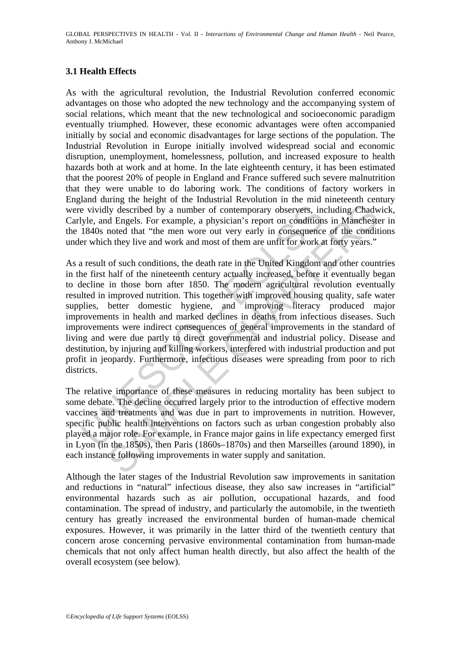## **3.1 Health Effects**

As with the agricultural revolution, the Industrial Revolution conferred economic advantages on those who adopted the new technology and the accompanying system of social relations, which meant that the new technological and socioeconomic paradigm eventually triumphed. However, these economic advantages were often accompanied initially by social and economic disadvantages for large sections of the population. The Industrial Revolution in Europe initially involved widespread social and economic disruption, unemployment, homelessness, pollution, and increased exposure to health hazards both at work and at home. In the late eighteenth century, it has been estimated that the poorest 20% of people in England and France suffered such severe malnutrition that they were unable to do laboring work. The conditions of factory workers in England during the height of the Industrial Revolution in the mid nineteenth century were vividly described by a number of contemporary observers, including Chadwick, Carlyle, and Engels. For example, a physician's report on conditions in Manchester in the 1840s noted that "the men wore out very early in consequence of the conditions under which they live and work and most of them are unfit for work at forty years."

ividly described by a number of contemporary observers, in<br>yle, and Engels. For example, a physician's report on condition<br>1840s noted that "the men wore out very early in consequence<br>er which they live and work and most o Ity described by a number of contemporary observers, including Chadwid Engels. For example, a physician's report on conditions in Manehests noted that "the men wore out very early in consequence of the conditions the they As a result of such conditions, the death rate in the United Kingdom and other countries in the first half of the nineteenth century actually increased, before it eventually began to decline in those born after 1850. The modern agricultural revolution eventually resulted in improved nutrition. This together with improved housing quality, safe water supplies, better domestic hygiene, and improving literacy produced major improvements in health and marked declines in deaths from infectious diseases. Such improvements were indirect consequences of general improvements in the standard of living and were due partly to direct governmental and industrial policy. Disease and destitution, by injuring and killing workers, interfered with industrial production and put profit in jeopardy. Furthermore, infectious diseases were spreading from poor to rich districts.

The relative importance of these measures in reducing mortality has been subject to some debate. The decline occurred largely prior to the introduction of effective modern vaccines and treatments and was due in part to improvements in nutrition. However, specific public health interventions on factors such as urban congestion probably also played a major role. For example, in France major gains in life expectancy emerged first in Lyon (in the 1850s), then Paris (1860s–1870s) and then Marseilles (around 1890), in each instance following improvements in water supply and sanitation.

Although the later stages of the Industrial Revolution saw improvements in sanitation and reductions in "natural" infectious disease, they also saw increases in "artificial" environmental hazards such as air pollution, occupational hazards, and food contamination. The spread of industry, and particularly the automobile, in the twentieth century has greatly increased the environmental burden of human-made chemical exposures. However, it was primarily in the latter third of the twentieth century that concern arose concerning pervasive environmental contamination from human-made chemicals that not only affect human health directly, but also affect the health of the overall ecosystem (see below).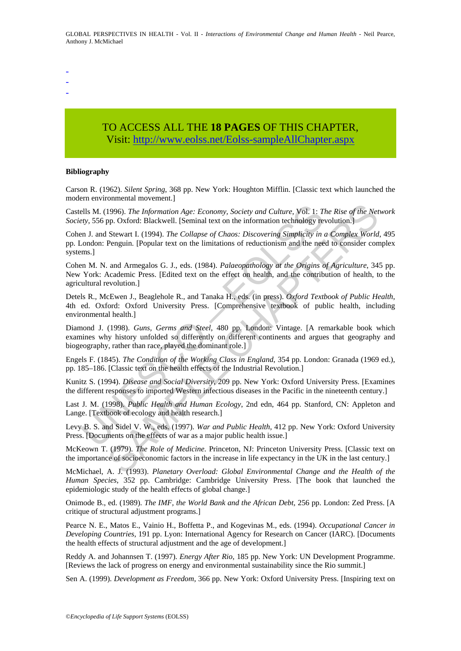- -
- -
- TO ACCESS ALL THE **18 PAGES** OF THIS CHAPTER, Visit[: http://www.eolss.net/Eolss-sampleAllChapter.aspx](https://www.eolss.net/ebooklib/sc_cart.aspx?File=E1-14-07)

#### **Bibliography**

Carson R. (1962). *Silent Spring*, 368 pp. New York: Houghton Mifflin. [Classic text which launched the modern environmental movement.]

Castells M. (1996). *The Information Age: Economy, Society and Culture*, Vol. 1: *The Rise of the Network Society*, 556 pp. Oxford: Blackwell. [Seminal text on the information technology revolution.]

Cohen J. and Stewart I. (1994). *The Collapse of Chaos: Discovering Simplicity in a Complex World*, 495 pp. London: Penguin. [Popular text on the limitations of reductionism and the need to consider complex systems.]

Cohen M. N. and Armegalos G. J., eds. (1984). *Palaeopathology at the Origins of Agriculture*, 345 pp. New York: Academic Press. [Edited text on the effect on health, and the contribution of health, to the agricultural revolution.]

Detels R., McEwen J., Beaglehole R., and Tanaka H., eds. (in press). *Oxford Textbook of Public Health*, 4th ed. Oxford: Oxford University Press. [Comprehensive textbook of public health, including environmental health.]

ells M. (1996). The *Information Age: Economy, Society and Culture*, Vol. 1: T.<br>ety, 556 pp. Oxford: Blackwell. [Seminal text on the information technology re<br>n.J. and Stewart I. (1994). The Collapse of Chaos: Discovering 1996). The Information Age: Economy, Society and Culture, Vol. 1: The Rise of the Net<br>pp. Oxford: Blackwell. [Seminal text on the information technology revolution.]<br>Stewart I. (1994). The Collapse of Chaos: Discovering Si Diamond J. (1998). *Guns, Germs and Steel*, 480 pp. London: Vintage. [A remarkable book which examines why history unfolded so differently on different continents and argues that geography and biogeography, rather than race, played the dominant role.]

Engels F. (1845). *The Condition of the Working Class in England*, 354 pp. London: Granada (1969 ed.), pp. 185–186. [Classic text on the health effects of the Industrial Revolution.]

Kunitz S. (1994). *Disease and Social Diversity*, 209 pp. New York: Oxford University Press. [Examines the different responses to imported Western infectious diseases in the Pacific in the nineteenth century.]

Last J. M. (1998). *Public Health and Human Ecology*, 2nd edn, 464 pp. Stanford, CN: Appleton and Lange. [Textbook of ecology and health research.]

Levy B. S. and Sidel V. W., eds. (1997). *War and Public Health*, 412 pp. New York: Oxford University Press. [Documents on the effects of war as a major public health issue.]

McKeown T. (1979). *The Role of Medicine*. Princeton, NJ: Princeton University Press. [Classic text on the importance of socioeconomic factors in the increase in life expectancy in the UK in the last century.]

McMichael, A. J. (1993). *Planetary Overload: Global Environmental Change and the Health of the Human Species*, 352 pp. Cambridge: Cambridge University Press. [The book that launched the epidemiologic study of the health effects of global change.]

Onimode B., ed. (1989). *The IMF, the World Bank and the African Debt*, 256 pp. London: Zed Press. [A critique of structural adjustment programs.]

Pearce N. E., Matos E., Vainio H., Boffetta P., and Kogevinas M., eds. (1994). *Occupational Cancer in Developing Countries*, 191 pp. Lyon: International Agency for Research on Cancer (IARC). [Documents the health effects of structural adjustment and the age of development.]

Reddy A. and Johannsen T. (1997). *Energy After Rio*, 185 pp. New York: UN Development Programme. [Reviews the lack of progress on energy and environmental sustainability since the Rio summit.]

Sen A. (1999). *Development as Freedom*, 366 pp. New York: Oxford University Press. [Inspiring text on